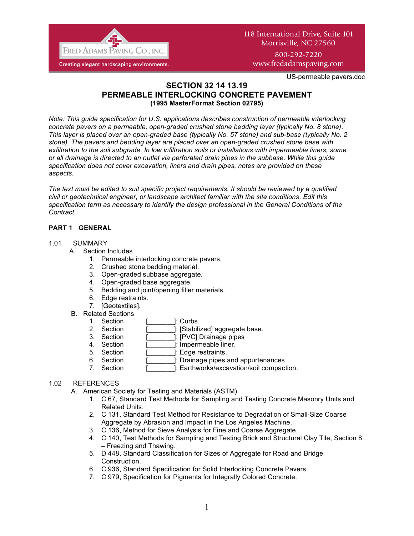

US-permeable pavers.doc

## **SECTION 32 14 13.19 PERMEABLE INTERLOCKING CONCRETE PAVEMENT (1995 MasterFormat Section 02795)**

*Note: This guide specification for U.S. applications describes construction of permeable interlocking concrete pavers on a permeable, open-graded crushed stone bedding layer (typically No. 8 stone). This layer is placed over an open-graded base (typically No. 57 stone) and sub-base (typically No. 2 stone). The pavers and bedding layer are placed over an open-graded crushed stone base with exfiltration to the soil subgrade. In low infiltration soils or installations with impermeable liners, some or all drainage is directed to an outlet via perforated drain pipes in the subbase. While this guide specification does not cover excavation, liners and drain pipes, notes are provided on these aspects.* 

*The text must be edited to suit specific project requirements. It should be reviewed by a qualified civil or geotechnical engineer, or landscape architect familiar with the site conditions. Edit this specification term as necessary to identify the design professional in the General Conditions of the Contract.* 

# **PART 1 GENERAL**

## 1.01 SUMMARY

- A. Section Includes
	- 1. Permeable interlocking concrete pavers.
	- 2. Crushed stone bedding material.
	- 3. Open-graded subbase aggregate.
	- 4. Open-graded base aggregate.
	- 5. Bedding and joint/opening filler materials.
	- 6. Edge restraints.
	- 7. [Geotextiles].
	- B. Related Sections
		- 1. Section [ ]: Curbs.
		- 2. Section [\_\_\_\_\_\_\_\_]: [Stabilized] aggregate base.<br>3. Section [\_\_\_\_\_\_\_]: [PVC] Drainage pipes
		- ]: [PVC] Drainage pipes
		- 4. Section [ ]: Impermeable liner.
		- 5. Section [ ]: Edge restraints.
		- 6. Section [\_\_\_\_\_\_\_]: Drainage pipes and appurtenances.
		- 7. Section [ ]: Earthworks/excavation/soil compaction.

## 1.02 REFERENCES

A. American Society for Testing and Materials (ASTM)

- 1. C 67, Standard Test Methods for Sampling and Testing Concrete Masonry Units and Related Units.
- 2. C 131, Standard Test Method for Resistance to Degradation of Small-Size Coarse Aggregate by Abrasion and Impact in the Los Angeles Machine.
- 3. C 136, Method for Sieve Analysis for Fine and Coarse Aggregate.
- 4. C 140, Test Methods for Sampling and Testing Brick and Structural Clay Tile, Section 8 – Freezing and Thawing.
- 5. D 448, Standard Classification for Sizes of Aggregate for Road and Bridge Construction.
- 6. C 936, Standard Specification for Solid Interlocking Concrete Pavers.
- 7. C 979, Specification for Pigments for Integrally Colored Concrete.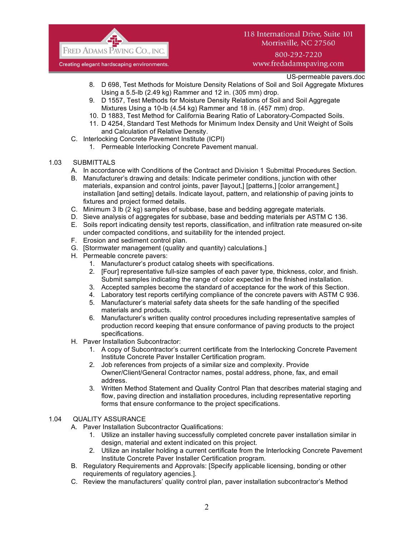

800-292-7220 www.fredadamspaving.com

US-permeable pavers.doc

- 8. D 698, Test Methods for Moisture Density Relations of Soil and Soil Aggregate Mixtures Using a 5.5-lb (2.49 kg) Rammer and 12 in. (305 mm) drop.
- 9. D 1557, Test Methods for Moisture Density Relations of Soil and Soil Aggregate Mixtures Using a 10-lb (4.54 kg) Rammer and 18 in. (457 mm) drop.
- 10. D 1883, Test Method for California Bearing Ratio of Laboratory-Compacted Soils.
- 11. D 4254, Standard Test Methods for Minimum Index Density and Unit Weight of Soils and Calculation of Relative Density.
- C. Interlocking Concrete Pavement Institute (ICPI)
	- 1. Permeable Interlocking Concrete Pavement manual.
- 1.03 SUBMITTALS
	- A. In accordance with Conditions of the Contract and Division 1 Submittal Procedures Section.
	- B. Manufacturer's drawing and details: Indicate perimeter conditions, junction with other materials, expansion and control joints, paver [layout,] [patterns,] [color arrangement,] installation [and setting] details. Indicate layout, pattern, and relationship of paving joints to fixtures and project formed details.
	- C. Minimum 3 lb (2 kg) samples of subbase, base and bedding aggregate materials.
	- D. Sieve analysis of aggregates for subbase, base and bedding materials per ASTM C 136.
	- E. Soils report indicating density test reports, classification, and infiltration rate measured on-site under compacted conditions, and suitability for the intended project.
	- F. Erosion and sediment control plan.
	- G. [Stormwater management (quality and quantity) calculations.]
	- H. Permeable concrete pavers:
		- 1. Manufacturer's product catalog sheets with specifications.
			- 2. [Four] representative full-size samples of each paver type, thickness, color, and finish. Submit samples indicating the range of color expected in the finished installation.
			- 3. Accepted samples become the standard of acceptance for the work of this Section.
			- 4. Laboratory test reports certifying compliance of the concrete pavers with ASTM C 936.
			- 5. Manufacturer's material safety data sheets for the safe handling of the specified materials and products.
			- 6. Manufacturer's written quality control procedures including representative samples of production record keeping that ensure conformance of paving products to the project specifications.
	- H. Paver Installation Subcontractor:
		- 1. A copy of Subcontractor's current certificate from the Interlocking Concrete Pavement Institute Concrete Paver Installer Certification program.
		- 2. Job references from projects of a similar size and complexity. Provide Owner/Client/General Contractor names, postal address, phone, fax, and email address.
		- 3. Written Method Statement and Quality Control Plan that describes material staging and flow, paving direction and installation procedures, including representative reporting forms that ensure conformance to the project specifications.

#### 1.04 QUALITY ASSURANCE

- A. Paver Installation Subcontractor Qualifications:
	- 1. Utilize an installer having successfully completed concrete paver installation similar in design, material and extent indicated on this project.
	- 2. Utilize an installer holding a current certificate from the Interlocking Concrete Pavement Institute Concrete Paver Installer Certification program.
- B. Regulatory Requirements and Approvals: [Specify applicable licensing, bonding or other requirements of regulatory agencies.].
- C. Review the manufacturers' quality control plan, paver installation subcontractor's Method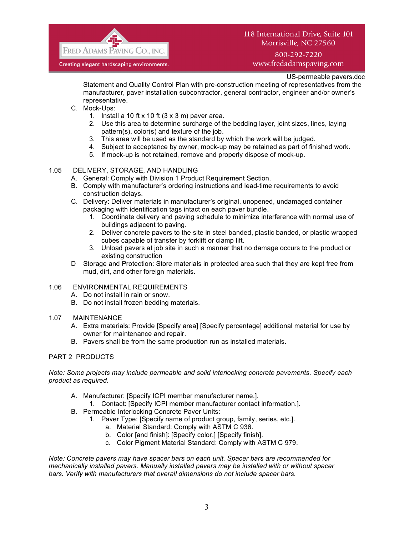

800-292-7220 www.fredadamspaving.com

US-permeable pavers.doc

Statement and Quality Control Plan with pre-construction meeting of representatives from the manufacturer, paver installation subcontractor, general contractor, engineer and/or owner's representative.

- C. Mock-Ups:
	- 1. Install a 10 ft x 10 ft  $(3 \times 3 \text{ m})$  paver area.
	- 2. Use this area to determine surcharge of the bedding layer, joint sizes, lines, laying pattern(s), color(s) and texture of the job.
	- 3. This area will be used as the standard by which the work will be judged.
	- 4. Subject to acceptance by owner, mock-up may be retained as part of finished work.
	- 5. If mock-up is not retained, remove and properly dispose of mock-up.

#### 1.05 DELIVERY, STORAGE, AND HANDLING

- A. General: Comply with Division 1 Product Requirement Section.
- B. Comply with manufacturer's ordering instructions and lead-time requirements to avoid construction delays.
- C. Delivery: Deliver materials in manufacturer's original, unopened, undamaged container packaging with identification tags intact on each paver bundle.
	- 1. Coordinate delivery and paving schedule to minimize interference with normal use of buildings adjacent to paving.
	- 2. Deliver concrete pavers to the site in steel banded, plastic banded, or plastic wrapped cubes capable of transfer by forklift or clamp lift.
	- 3. Unload pavers at job site in such a manner that no damage occurs to the product or existing construction
- D Storage and Protection: Store materials in protected area such that they are kept free from mud, dirt, and other foreign materials.

# 1.06 ENVIRONMENTAL REQUIREMENTS

- A. Do not install in rain or snow.
- B. Do not install frozen bedding materials.

#### 1.07 MAINTENANCE

- A. Extra materials: Provide [Specify area] [Specify percentage] additional material for use by owner for maintenance and repair.
- B. Pavers shall be from the same production run as installed materials.

## PART 2 PRODUCTS

*Note: Some projects may include permeable and solid interlocking concrete pavements. Specify each product as required.*

- A. Manufacturer: [Specify ICPI member manufacturer name.].
	- 1. Contact: [Specify ICPI member manufacturer contact information.].
- B. Permeable Interlocking Concrete Paver Units:
	- 1. Paver Type: [Specify name of product group, family, series, etc.].
		- a. Material Standard: Comply with ASTM C 936.
		- b. Color [and finish]: [Specify color.] [Specify finish].
		- c. Color Pigment Material Standard: Comply with ASTM C 979.

*Note: Concrete pavers may have spacer bars on each unit. Spacer bars are recommended for mechanically installed pavers. Manually installed pavers may be installed with or without spacer bars. Verify with manufacturers that overall dimensions do not include spacer bars.*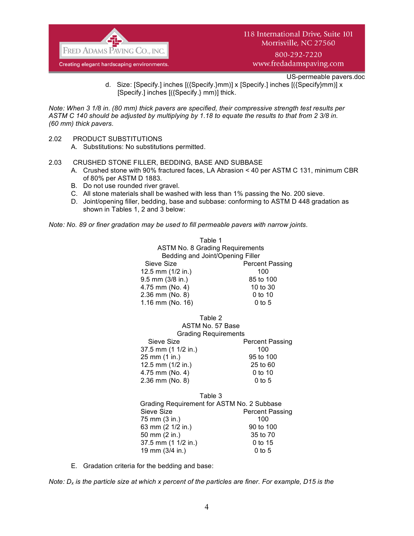

800-292-7220 www.fredadamspaving.com

US-permeable pavers.doc

d. Size: [Specify.] inches [({Specify.}mm)] x [Specify.] inches [({Specify}mm)] x [Specify.] inches [({Specify.} mm)] thick.

*Note: When 3 1/8 in. (80 mm) thick pavers are specified, their compressive strength test results per ASTM C 140 should be adjusted by multiplying by 1.18 to equate the results to that from 2 3/8 in. (60 mm) thick pavers.*

- 2.02 PRODUCT SUBSTITUTIONS
	- A. Substitutions: No substitutions permitted.
- 2.03 CRUSHED STONE FILLER, BEDDING, BASE AND SUBBASE
	- A. Crushed stone with 90% fractured faces, LA Abrasion < 40 per ASTM C 131, minimum CBR of 80% per ASTM D 1883.
	- B. Do not use rounded river gravel.
	- C. All stone materials shall be washed with less than 1% passing the No. 200 sieve.
	- D. Joint/opening filler, bedding, base and subbase: conforming to ASTM D 448 gradation as shown in Tables 1, 2 and 3 below:

*Note: No. 89 or finer gradation may be used to fill permeable pavers with narrow joints.*

| Table 1                                |                        |
|----------------------------------------|------------------------|
| <b>ASTM No. 8 Grading Requirements</b> |                        |
| Bedding and Joint/Opening Filler       |                        |
| Sieve Size                             | <b>Percent Passing</b> |
| 12.5 mm (1/2 in.)                      | 100                    |
| $9.5$ mm $(3/8$ in.)                   | 85 to 100              |
| 4.75 mm (No. 4)                        | 10 to 30               |
| 2.36 mm (No. 8)                        | $0$ to 10              |
| 1.16 mm (No. 16)                       | $0$ to 5               |
|                                        |                        |

| <b>Grading Requirements</b>          |  |
|--------------------------------------|--|
| <b>Percent Passing</b><br>Sieve Size |  |
| 37.5 mm (1 1/2 in.)<br>100           |  |
| 25 mm (1 in.)<br>95 to 100           |  |
| 12.5 mm (1/2 in.)<br>25 to 60        |  |
| 4.75 mm (No. 4)<br>$0$ to 10         |  |
| 2.36 mm (No. 8)<br>$0$ to 5          |  |

Table 3 Grading Requirement for ASTM No. 2 Subbase Sieve Size **Percent Passing** 75 mm (3 in.) 100 63 mm (2 1/2 in.) 90 to 100 50 mm (2 in.) 35 to 70 37.5 mm (1 1/2 in.) 0 to 15 19 mm (3/4 in.) 0 to 5

E. Gradation criteria for the bedding and base:

*Note: Dx is the particle size at which x percent of the particles are finer. For example, D15 is the*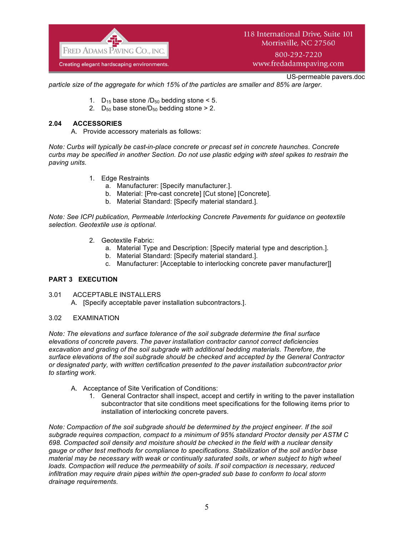

800-292-7220 www.fredadamspaving.com

US-permeable pavers.doc

*particle size of the aggregate for which 15% of the particles are smaller and 85% are larger.*

- 1.  $D_{15}$  base stone  $/D_{50}$  bedding stone < 5.
- 2.  $D_{50}$  base stone/ $D_{50}$  bedding stone > 2.

### **2.04 ACCESSORIES**

A. Provide accessory materials as follows:

*Note: Curbs will typically be cast-in-place concrete or precast set in concrete haunches. Concrete curbs may be specified in another Section. Do not use plastic edging with steel spikes to restrain the paving units.*

- 1. Edge Restraints
	- a. Manufacturer: [Specify manufacturer.].
	- b. Material: [Pre-cast concrete] [Cut stone] [Concrete].
	- b. Material Standard: [Specify material standard.].

*Note: See ICPI publication, Permeable Interlocking Concrete Pavements for guidance on geotextile selection. Geotextile use is optional.*

- 2. Geotextile Fabric:
	- a. Material Type and Description: [Specify material type and description.].
	- b. Material Standard: [Specify material standard.].
	- c. Manufacturer: [Acceptable to interlocking concrete paver manufacturer]]

## **PART 3 EXECUTION**

- 3.01 ACCEPTABLE INSTALLERS
	- A. [Specify acceptable paver installation subcontractors.].

#### 3.02 EXAMINATION

*Note: The elevations and surface tolerance of the soil subgrade determine the final surface elevations of concrete pavers. The paver installation contractor cannot correct deficiencies excavation and grading of the soil subgrade with additional bedding materials. Therefore, the surface elevations of the soil subgrade should be checked and accepted by the General Contractor or designated party, with written certification presented to the paver installation subcontractor prior to starting work.* 

- A. Acceptance of Site Verification of Conditions:
	- 1. General Contractor shall inspect, accept and certify in writing to the paver installation subcontractor that site conditions meet specifications for the following items prior to installation of interlocking concrete pavers.

*Note: Compaction of the soil subgrade should be determined by the project engineer. If the soil subgrade requires compaction, compact to a minimum of 95% standard Proctor density per ASTM C 698. Compacted soil density and moisture should be checked in the field with a nuclear density gauge or other test methods for compliance to specifications. Stabilization of the soil and/or base material may be necessary with weak or continually saturated soils, or when subject to high wheel loads. Compaction will reduce the permeability of soils. If soil compaction is necessary, reduced infiltration may require drain pipes within the open-graded sub base to conform to local storm drainage requirements.*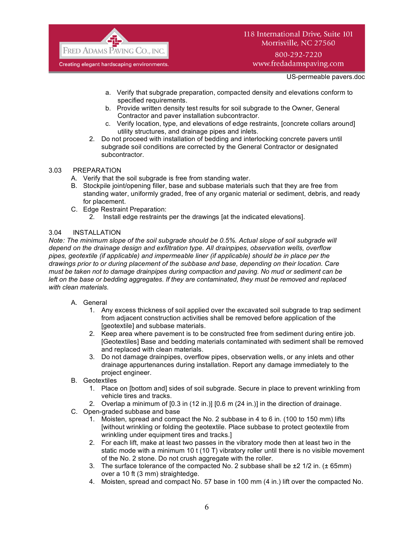

800-292-7220 www.fredadamspaving.com

US-permeable pavers.doc

- a. Verify that subgrade preparation, compacted density and elevations conform to specified requirements.
- b. Provide written density test results for soil subgrade to the Owner, General Contractor and paver installation subcontractor.
- c. Verify location, type, and elevations of edge restraints, [concrete collars around] utility structures, and drainage pipes and inlets.
- 2. Do not proceed with installation of bedding and interlocking concrete pavers until subgrade soil conditions are corrected by the General Contractor or designated subcontractor.

#### 3.03 PREPARATION

- A. Verify that the soil subgrade is free from standing water.
- B. Stockpile joint/opening filler, base and subbase materials such that they are free from standing water, uniformly graded, free of any organic material or sediment, debris, and ready for placement.
- C. Edge Restraint Preparation:
	- 2. Install edge restraints per the drawings [at the indicated elevations].

#### 3.04 INSTALLATION

*Note: The minimum slope of the soil subgrade should be 0.5%. Actual slope of soil subgrade will depend on the drainage design and exfiltration type. All drainpipes, observation wells, overflow pipes, geotextile (if applicable) and impermeable liner (if applicable) should be in place per the drawings prior to or during placement of the subbase and base, depending on their location. Care must be taken not to damage drainpipes during compaction and paving. No mud or sediment can be left on the base or bedding aggregates. If they are contaminated, they must be removed and replaced with clean materials.* 

#### A. General

- 1. Any excess thickness of soil applied over the excavated soil subgrade to trap sediment from adjacent construction activities shall be removed before application of the [geotextile] and subbase materials.
- 2. Keep area where pavement is to be constructed free from sediment during entire job. [Geotextiles] Base and bedding materials contaminated with sediment shall be removed and replaced with clean materials.
- 3. Do not damage drainpipes, overflow pipes, observation wells, or any inlets and other drainage appurtenances during installation. Report any damage immediately to the project engineer.
- B. Geotextiles
	- 1. Place on [bottom and] sides of soil subgrade. Secure in place to prevent wrinkling from vehicle tires and tracks.
	- 2. Overlap a minimum of [0.3 in (12 in.)] [0.6 m (24 in.)] in the direction of drainage.
- C. Open-graded subbase and base
	- 1. Moisten, spread and compact the No. 2 subbase in 4 to 6 in. (100 to 150 mm) lifts [without wrinkling or folding the geotextile. Place subbase to protect geotextile from wrinkling under equipment tires and tracks.]
	- 2. For each lift, make at least two passes in the vibratory mode then at least two in the static mode with a minimum 10 t (10 T) vibratory roller until there is no visible movement of the No. 2 stone. Do not crush aggregate with the roller.
	- 3. The surface tolerance of the compacted No. 2 subbase shall be  $\pm 2$  1/2 in. ( $\pm$  65mm) over a 10 ft (3 mm) straightedge.
	- 4. Moisten, spread and compact No. 57 base in 100 mm (4 in.) lift over the compacted No.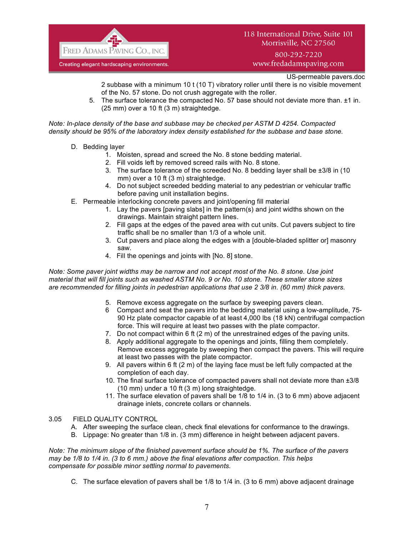

800-292-7220 www.fredadamspaving.com

US-permeable pavers.doc

2 subbase with a minimum 10 t (10 T) vibratory roller until there is no visible movement of the No. 57 stone. Do not crush aggregate with the roller.

5. The surface tolerance the compacted No. 57 base should not deviate more than. ±1 in. (25 mm) over a 10 ft (3 m) straightedge.

*Note: In-place density of the base and subbase may be checked per ASTM D 4254. Compacted density should be 95% of the laboratory index density established for the subbase and base stone.* 

- D. Bedding layer
	- 1. Moisten, spread and screed the No. 8 stone bedding material.
	- 2. Fill voids left by removed screed rails with No. 8 stone.
	- 3. The surface tolerance of the screeded No. 8 bedding layer shall be ±3/8 in (10 mm) over a 10 ft (3 m) straightedge.
	- 4. Do not subject screeded bedding material to any pedestrian or vehicular traffic before paving unit installation begins.
- E. Permeable interlocking concrete pavers and joint/opening fill material
	- 1. Lay the pavers [paving slabs] in the pattern(s) and joint widths shown on the drawings. Maintain straight pattern lines.
	- 2. Fill gaps at the edges of the paved area with cut units. Cut pavers subject to tire traffic shall be no smaller than 1/3 of a whole unit.
	- 3. Cut pavers and place along the edges with a [double-bladed splitter or] masonry saw.
	- 4. Fill the openings and joints with [No. 8] stone.

*Note: Some paver joint widths may be narrow and not accept most of the No. 8 stone. Use joint material that will fill joints such as washed ASTM No. 9 or No. 10 stone. These smaller stone sizes are recommended for filling joints in pedestrian applications that use 2 3/8 in. (60 mm) thick pavers.*

- 5. Remove excess aggregate on the surface by sweeping pavers clean.
- 6 Compact and seat the pavers into the bedding material using a low-amplitude, 75- 90 Hz plate compactor capable of at least 4,000 lbs (18 kN) centrifugal compaction force. This will require at least two passes with the plate compactor.
- 7. Do not compact within 6 ft (2 m) of the unrestrained edges of the paving units.
- 8. Apply additional aggregate to the openings and joints, filling them completely. Remove excess aggregate by sweeping then compact the pavers. This will require at least two passes with the plate compactor.
- 9. All pavers within 6 ft (2 m) of the laying face must be left fully compacted at the completion of each day.
- 10. The final surface tolerance of compacted pavers shall not deviate more than ±3/8 (10 mm) under a 10 ft (3 m) long straightedge.
- 11. The surface elevation of pavers shall be 1/8 to 1/4 in. (3 to 6 mm) above adjacent drainage inlets, concrete collars or channels.
- 3.05 FIELD QUALITY CONTROL
	- A. After sweeping the surface clean, check final elevations for conformance to the drawings.
	- B. Lippage: No greater than 1/8 in. (3 mm) difference in height between adjacent pavers.

*Note: The minimum slope of the finished pavement surface should be 1%. The surface of the pavers may be 1/8 to 1/4 in. (3 to 6 mm.) above the final elevations after compaction. This helps compensate for possible minor settling normal to pavements.*

C. The surface elevation of pavers shall be 1/8 to 1/4 in. (3 to 6 mm) above adjacent drainage